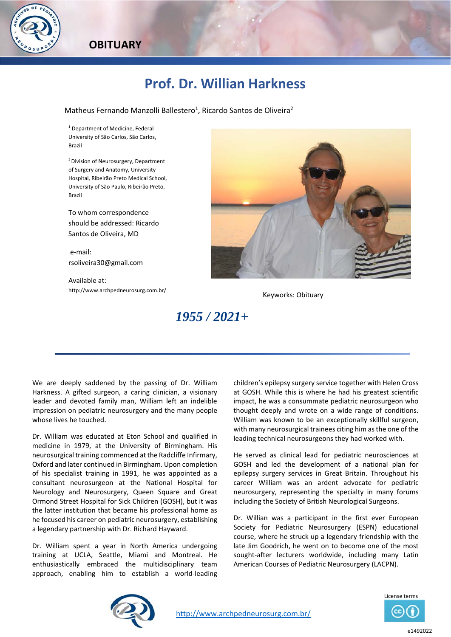

## **Prof. Dr. Willian Harkness**

Matheus Fernando Manzolli Ballestero<sup>1</sup>, Ricardo Santos de Oliveira<sup>2</sup>

1 Department of Medicine, Federal University of São Carlos, São Carlos, Brazil

2 Division of Neurosurgery, Department of Surgery and Anatomy, University Hospital, Ribeirão Preto Medical School, University of São Paulo, Ribeirão Preto, Brazil

To whom correspondence should be addressed: Ricardo Santos de Oliveira, MD

 e‐mail: rsoliveira30@gmail.com

Available at: http://www.archpedneurosurg.com.br/<br>
Keyworks: Obituary



## *1955 / 2021+*

We are deeply saddened by the passing of Dr. William Harkness. A gifted surgeon, a caring clinician, a visionary leader and devoted family man, William left an indelible impression on pediatric neurosurgery and the many people whose lives he touched.

Dr. William was educated at Eton School and qualified in medicine in 1979, at the University of Birmingham. His neurosurgical training commenced at the Radcliffe Infirmary, Oxford and later continued in Birmingham. Upon completion of his specialist training in 1991, he was appointed as a consultant neurosurgeon at the National Hospital for Neurology and Neurosurgery, Queen Square and Great Ormond Street Hospital for Sick Children (GOSH), but it was the latter institution that became his professional home as he focused his career on pediatric neurosurgery, establishing a legendary partnership with Dr. Richard Hayward.

Dr. William spent a year in North America undergoing training at UCLA, Seattle, Miami and Montreal. He enthusiastically embraced the multidisciplinary team approach, enabling him to establish a world‐leading

children's epilepsy surgery service together with Helen Cross at GOSH. While this is where he had his greatest scientific impact, he was a consummate pediatric neurosurgeon who thought deeply and wrote on a wide range of conditions. William was known to be an exceptionally skillful surgeon, with many neurosurgical trainees citing him as the one of the leading technical neurosurgeons they had worked with.

He served as clinical lead for pediatric neurosciences at GOSH and led the development of a national plan for epilepsy surgery services in Great Britain. Throughout his career William was an ardent advocate for pediatric neurosurgery, representing the specialty in many forums including the Society of British Neurological Surgeons.

Dr. Willian was a participant in the first ever European Society for Pediatric Neurosurgery (ESPN) educational course, where he struck up a legendary friendship with the late Jim Goodrich, he went on to become one of the most sought-after lecturers worldwide, including many Latin American Courses of Pediatric Neurosurgery (LACPN).



http://www.archpedneurosurg.com.br/